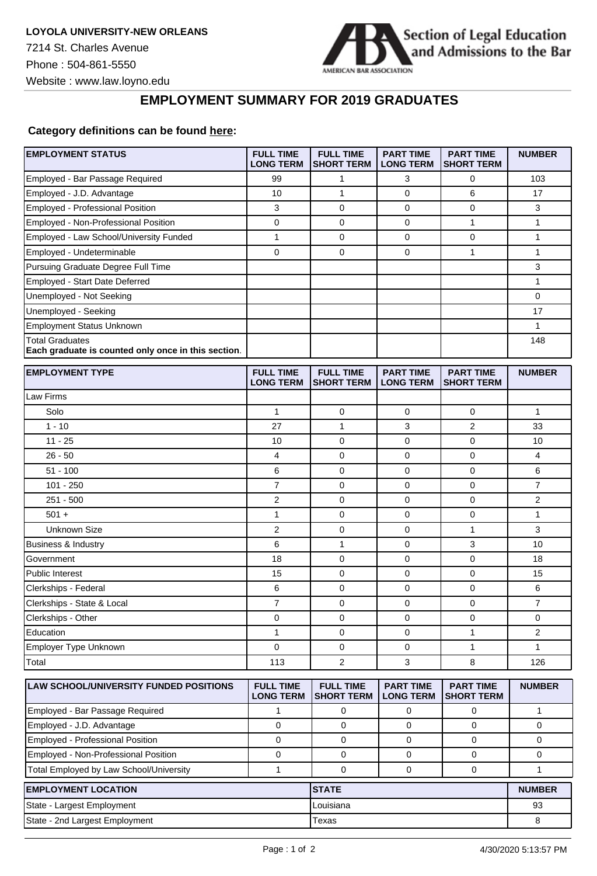

## **EMPLOYMENT SUMMARY FOR 2019 GRADUATES**

## **Category definitions can be found [here:](https://www.americanbar.org/content/dam/aba/administrative/legal_education_and_admissions_to_the_bar/Questionnaires/2020employmentquestionnaire/2020-aba-employment-protocols-class-of-2019.pdf)**

| <b>EMPLOYMENT STATUS</b>                                                      | <b>FULL TIME</b><br><b>LONG TERM</b> | <b>FULL TIME</b><br><b>SHORT TERM</b> | <b>PART TIME</b><br><b>LONG TERM</b> | <b>PART TIME</b><br><b>SHORT TERM</b> | <b>NUMBER</b>  |
|-------------------------------------------------------------------------------|--------------------------------------|---------------------------------------|--------------------------------------|---------------------------------------|----------------|
| Employed - Bar Passage Required                                               | 99                                   | 1                                     | 3                                    | 0                                     | 103            |
| Employed - J.D. Advantage                                                     | 10                                   | $\mathbf{1}$                          | $\mathbf 0$                          | 6                                     | 17             |
| Employed - Professional Position                                              | 3                                    | $\mathbf 0$                           | 0                                    | 0                                     | 3              |
| Employed - Non-Professional Position                                          | 0                                    | $\mathbf 0$                           | 0                                    | $\mathbf{1}$                          | 1              |
| Employed - Law School/University Funded                                       | 1                                    | 0                                     | 0                                    | 0                                     | 1              |
| Employed - Undeterminable                                                     | 0                                    | $\mathbf 0$                           | 0                                    | $\mathbf{1}$                          | 1              |
| Pursuing Graduate Degree Full Time                                            |                                      |                                       |                                      |                                       | 3              |
| Employed - Start Date Deferred                                                |                                      |                                       |                                      |                                       | 1              |
| Unemployed - Not Seeking                                                      |                                      |                                       |                                      |                                       | 0              |
| Unemployed - Seeking                                                          |                                      |                                       |                                      |                                       | 17             |
| <b>Employment Status Unknown</b>                                              |                                      |                                       |                                      |                                       | 1              |
| <b>Total Graduates</b><br>Each graduate is counted only once in this section. |                                      |                                       |                                      |                                       | 148            |
| <b>EMPLOYMENT TYPE</b>                                                        | <b>FULL TIME</b><br><b>LONG TERM</b> | <b>FULL TIME</b><br><b>SHORT TERM</b> | <b>PART TIME</b><br><b>LONG TERM</b> | <b>PART TIME</b><br><b>SHORT TERM</b> | <b>NUMBER</b>  |
| Law Firms                                                                     |                                      |                                       |                                      |                                       |                |
| Solo                                                                          | $\mathbf{1}$                         | $\mathbf 0$                           | $\mathbf 0$                          | $\mathbf 0$                           | $\mathbf{1}$   |
| $1 - 10$                                                                      | 27                                   | $\mathbf{1}$                          | 3                                    | $\overline{2}$                        | 33             |
| $11 - 25$                                                                     | 10                                   | $\mathbf 0$                           | 0                                    | $\mathbf 0$                           | 10             |
| $26 - 50$                                                                     | 4                                    | $\mathbf 0$                           | 0                                    | $\mathbf 0$                           | 4              |
| $51 - 100$                                                                    | 6                                    | $\mathbf 0$                           | $\mathbf 0$                          | $\mathbf 0$                           | 6              |
| $101 - 250$                                                                   | 7                                    | 0                                     | 0                                    | 0                                     | 7              |
| $251 - 500$                                                                   | 2                                    | $\mathbf 0$                           | 0                                    | $\mathbf 0$                           | 2              |
| $501 +$                                                                       | 1                                    | $\mathbf 0$                           | 0                                    | $\mathbf 0$                           | 1              |
| Unknown Size                                                                  | 2                                    | 0                                     | 0                                    | $\mathbf{1}$                          | 3              |
| Business & Industry                                                           | 6                                    | $\mathbf{1}$                          | $\mathbf 0$                          | 3                                     | 10             |
| Government                                                                    | 18                                   | 0                                     | $\mathbf 0$                          | 0                                     | 18             |
| Public Interest                                                               | 15                                   | 0                                     | 0                                    | $\mathbf 0$                           | 15             |
| Clerkships - Federal                                                          | 6                                    | $\mathbf 0$                           | 0                                    | $\mathbf 0$                           | 6              |
| Clerkships - State & Local                                                    | 7                                    | 0                                     | $\mathbf 0$                          | 0                                     | 7              |
| Clerkships - Other                                                            | 0                                    | 0                                     | 0                                    | 0                                     | 0              |
| Education                                                                     | 1                                    | $\mathbf 0$                           | 0                                    | $\mathbf{1}$                          | $\overline{2}$ |
| Employer Type Unknown                                                         | 0                                    | 0                                     | 0                                    | 1                                     | 1              |
| Total                                                                         | 113                                  | $\overline{2}$                        | 3                                    | 8                                     | 126            |
| <b>LAW SCHOOL/UNIVERSITY FUNDED POSITIONS</b>                                 | <b>FULL TIME</b><br><b>LONG TERM</b> | <b>FULL TIME</b><br><b>SHORT TERM</b> | <b>PART TIME</b><br><b>LONG TERM</b> | <b>PART TIME</b><br><b>SHORT TERM</b> | <b>NUMBER</b>  |
| Employed - Bar Passage Required                                               | 1                                    | 0                                     | 0                                    | 0                                     | $\mathbf{1}$   |
| Employed - J.D. Advantage                                                     | 0                                    | 0                                     | 0                                    | 0                                     | 0              |
| Employed - Professional Position                                              | $\mathbf 0$                          | 0                                     | $\mathbf 0$                          | $\mathbf 0$                           | 0              |
| Employed - Non-Professional Position                                          | 0                                    | 0                                     | 0                                    | 0                                     | 0              |
| Total Employed by Law School/University                                       | $\mathbf{1}$                         | $\mathbf 0$                           | 0                                    | $\mathbf 0$                           | 1              |
| <b>EMPLOYMENT LOCATION</b>                                                    |                                      | <b>STATE</b>                          |                                      |                                       | <b>NUMBER</b>  |
| State - Largest Employment                                                    |                                      | Louisiana                             |                                      |                                       | 93             |
| State - 2nd Largest Employment                                                |                                      | Texas                                 |                                      |                                       | 8              |